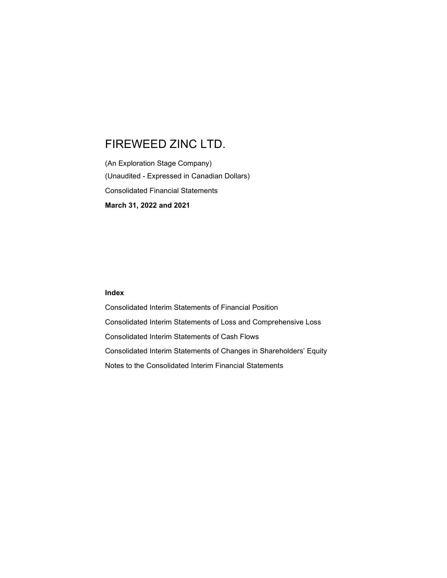(An Exploration Stage Company) (Unaudited - Expressed in Canadian Dollars) Consolidated Financial Statements March 31, 2022 and 2021

### Index

Consolidated Interim Statements of Financial Position Consolidated Interim Statements of Loss and Comprehensive Loss Consolidated Interim Statements of Cash Flows Consolidated Interim Statements of Changes in Shareholders' Equity Notes to the Consolidated Interim Financial Statements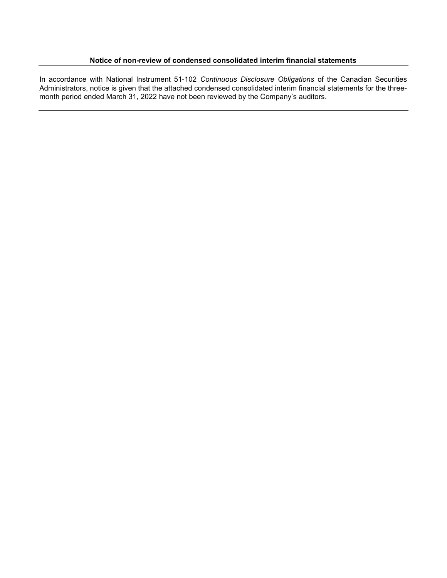# Notice of non-review of condensed consolidated interim financial statements

In accordance with National Instrument 51-102 Continuous Disclosure Obligations of the Canadian Securities Administrators, notice is given that the attached condensed consolidated interim financial statements for the threemonth period ended March 31, 2022 have not been reviewed by the Company's auditors.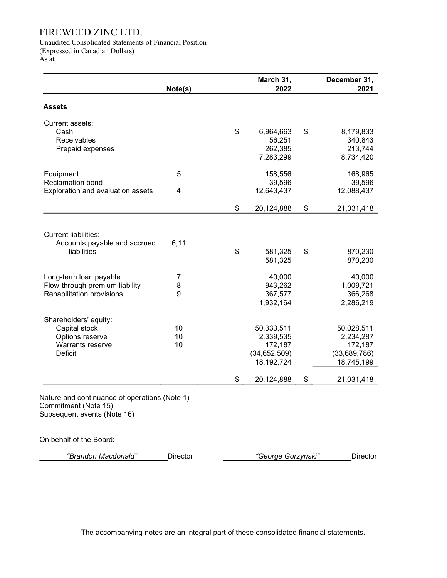Unaudited Consolidated Statements of Financial Position (Expressed in Canadian Dollars)

As at

|                                                                                                      |          | March 31,          | December 31,     |
|------------------------------------------------------------------------------------------------------|----------|--------------------|------------------|
|                                                                                                      | Note(s)  | 2022               | 2021             |
| <b>Assets</b>                                                                                        |          |                    |                  |
| Current assets:                                                                                      |          |                    |                  |
| Cash                                                                                                 |          | \$<br>6,964,663    | \$<br>8,179,833  |
| Receivables                                                                                          |          | 56,251             | 340,843          |
| Prepaid expenses                                                                                     |          | 262,385            | 213,744          |
|                                                                                                      |          | 7,283,299          | 8,734,420        |
| Equipment                                                                                            | 5        | 158,556            | 168,965          |
| Reclamation bond                                                                                     |          | 39,596             | 39,596           |
| Exploration and evaluation assets                                                                    | 4        | 12,643,437         | 12,088,437       |
|                                                                                                      |          | \$<br>20,124,888   | \$<br>21,031,418 |
| <b>Current liabilities:</b>                                                                          |          |                    |                  |
| Accounts payable and accrued                                                                         | 6,11     |                    |                  |
| liabilities                                                                                          |          | \$<br>581,325      | \$<br>870,230    |
|                                                                                                      |          | 581,325            | 870,230          |
| Long-term loan payable                                                                               | 7        | 40,000             | 40,000           |
| Flow-through premium liability                                                                       | 8        | 943,262            | 1,009,721        |
| Rehabilitation provisions                                                                            | 9        | 367,577            | 366,268          |
|                                                                                                      |          | 1,932,164          | 2,286,219        |
| Shareholders' equity:                                                                                |          |                    |                  |
| Capital stock                                                                                        | 10       | 50,333,511         | 50,028,511       |
| Options reserve                                                                                      | 10       | 2,339,535          | 2,234,287        |
| Warrants reserve                                                                                     | 10       | 172,187            | 172,187          |
| Deficit                                                                                              |          | (34, 652, 509)     | (33,689,786)     |
|                                                                                                      |          | 18, 192, 724       | 18,745,199       |
|                                                                                                      |          | \$<br>20,124,888   | \$<br>21,031,418 |
| Nature and continuance of operations (Note 1)<br>Commitment (Note 15)<br>Subsequent events (Note 16) |          |                    |                  |
| On behalf of the Board:                                                                              |          |                    |                  |
| "Brandon Macdonald"                                                                                  | Director | "George Gorzynski" | Director         |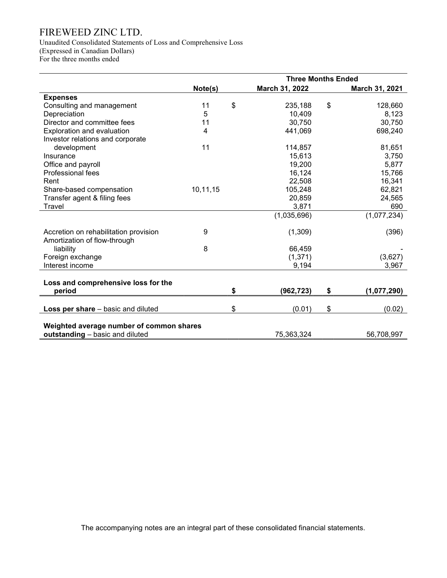Unaudited Consolidated Statements of Loss and Comprehensive Loss (Expressed in Canadian Dollars)

For the three months ended

|                                                                             |          | <b>Three Months Ended</b> |                |    |                |
|-----------------------------------------------------------------------------|----------|---------------------------|----------------|----|----------------|
|                                                                             | Note(s)  |                           | March 31, 2022 |    | March 31, 2021 |
| <b>Expenses</b>                                                             |          |                           |                |    |                |
| Consulting and management                                                   | 11       | \$                        | 235,188        | \$ | 128,660        |
| Depreciation                                                                | 5        |                           | 10,409         |    | 8,123          |
| Director and committee fees                                                 | 11       |                           | 30,750         |    | 30,750         |
| Exploration and evaluation                                                  | 4        |                           | 441,069        |    | 698,240        |
| Investor relations and corporate                                            |          |                           |                |    |                |
| development                                                                 | 11       |                           | 114,857        |    | 81,651         |
| Insurance                                                                   |          |                           | 15,613         |    | 3,750          |
| Office and payroll                                                          |          |                           | 19,200         |    | 5,877          |
| Professional fees                                                           |          |                           | 16,124         |    | 15,766         |
| Rent                                                                        |          |                           | 22,508         |    | 16,341         |
| Share-based compensation                                                    | 10,11,15 |                           | 105,248        |    | 62,821         |
| Transfer agent & filing fees                                                |          |                           | 20,859         |    | 24,565         |
| Travel                                                                      |          |                           | 3,871          |    | 690            |
|                                                                             |          |                           | (1,035,696)    |    | (1,077,234)    |
| Accretion on rehabilitation provision                                       | 9        |                           | (1,309)        |    | (396)          |
| Amortization of flow-through                                                |          |                           |                |    |                |
| liability                                                                   | 8        |                           | 66,459         |    |                |
| Foreign exchange                                                            |          |                           | (1, 371)       |    | (3,627)        |
| Interest income                                                             |          |                           | 9,194          |    | 3,967          |
|                                                                             |          |                           |                |    |                |
| Loss and comprehensive loss for the                                         |          |                           |                |    |                |
| period                                                                      |          | \$                        | (962, 723)     | \$ | (1,077,290)    |
|                                                                             |          |                           |                |    |                |
| Loss per share - basic and diluted                                          |          | \$                        | (0.01)         | \$ | (0.02)         |
|                                                                             |          |                           |                |    |                |
| Weighted average number of common shares<br>outstanding - basic and diluted |          |                           | 75,363,324     |    | 56,708,997     |
|                                                                             |          |                           |                |    |                |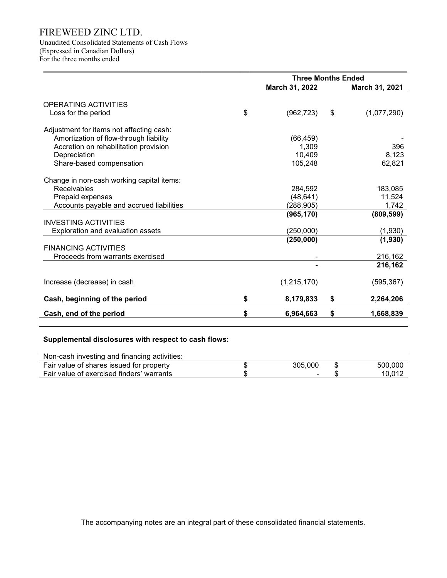Unaudited Consolidated Statements of Cash Flows (Expressed in Canadian Dollars) For the three months ended

|                                           | <b>Three Months Ended</b> |    |                    |  |
|-------------------------------------------|---------------------------|----|--------------------|--|
|                                           | March 31, 2022            |    | March 31, 2021     |  |
| OPERATING ACTIVITIES                      |                           |    |                    |  |
| Loss for the period                       | \$<br>(962, 723)          | \$ | (1,077,290)        |  |
| Adjustment for items not affecting cash:  |                           |    |                    |  |
| Amortization of flow-through liability    | (66, 459)                 |    |                    |  |
| Accretion on rehabilitation provision     | 1,309                     |    | 396                |  |
| Depreciation                              | 10,409                    |    | 8,123              |  |
| Share-based compensation                  | 105,248                   |    | 62,821             |  |
| Change in non-cash working capital items: |                           |    |                    |  |
| Receivables                               | 284,592                   |    | 183,085            |  |
| Prepaid expenses                          | (48, 641)                 |    | 11,524             |  |
| Accounts payable and accrued liabilities  | (288, 905)                |    | 1,742              |  |
|                                           | (965, 170)                |    | (809, 599)         |  |
| <b>INVESTING ACTIVITIES</b>               |                           |    |                    |  |
| Exploration and evaluation assets         | (250,000)                 |    | (1,930)            |  |
| <b>FINANCING ACTIVITIES</b>               | (250,000)                 |    | (1,930)            |  |
| Proceeds from warrants exercised          |                           |    |                    |  |
|                                           |                           |    | 216,162<br>216,162 |  |
|                                           |                           |    |                    |  |
| Increase (decrease) in cash               | (1,215,170)               |    | (595, 367)         |  |
| Cash, beginning of the period             | \$<br>8,179,833           | \$ | 2,264,206          |  |
| Cash, end of the period                   | \$<br>6,964,663           | \$ | 1,668,839          |  |

# Supplemental disclosures with respect to cash flows:

| Non-cash investing and financing activities: |         |   |         |
|----------------------------------------------|---------|---|---------|
| Fair value of shares issued for property     | 305.000 | S | 500,000 |
| Fair value of exercised finders' warrants    | -       |   | 10.012  |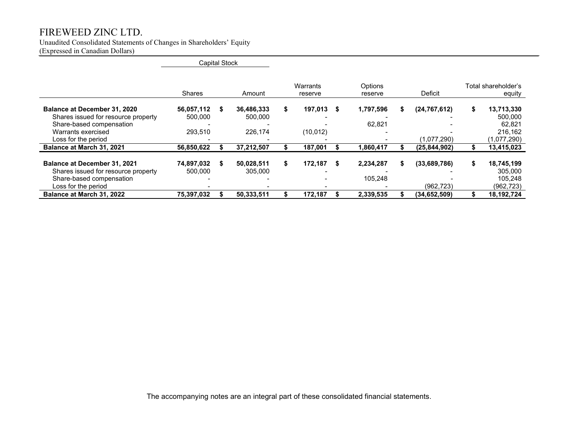Unaudited Consolidated Statements of Changes in Shareholders' Equity

(Expressed in Canadian Dollars)

|                                                                                                                                              | <b>Capital Stock</b>             |    |                                  |   |                      |      |                      |                               |                                                                 |
|----------------------------------------------------------------------------------------------------------------------------------------------|----------------------------------|----|----------------------------------|---|----------------------|------|----------------------|-------------------------------|-----------------------------------------------------------------|
|                                                                                                                                              | <b>Shares</b>                    |    | Amount                           |   | Warrants<br>reserve  |      | Options<br>reserve   | Deficit                       | Total shareholder's<br>equity                                   |
| Balance at December 31, 2020<br>Shares issued for resource property<br>Share-based compensation<br>Warrants exercised<br>Loss for the period | 56,057,112<br>500,000<br>293,510 | S. | 36,486,333<br>500.000<br>226,174 | S | 197,013<br>(10, 012) | - \$ | 1,797,596<br>62,821  | (24, 767, 612)<br>(1,077,290) | \$<br>13,713,330<br>500,000<br>62.821<br>216,162<br>(1,077,290) |
| Balance at March 31, 2021                                                                                                                    | 56,850,622                       |    | 37,212,507                       |   | 187,001              |      | 1,860,417            | (25, 844, 902)                | 13,415,023                                                      |
| Balance at December 31, 2021<br>Shares issued for resource property<br>Share-based compensation<br>Loss for the period                       | 74,897,032<br>500,000            | S. | 50,028,511<br>305,000            | S | 172,187              | - \$ | 2,234,287<br>105.248 | (33,689,786)<br>(962, 723)    | \$<br>18,745,199<br>305,000<br>105.248<br>(962,723)             |
| Balance at March 31, 2022                                                                                                                    | 75,397,032                       |    | 50,333,511                       |   | 172.187              |      | 2,339,535            | (34, 652, 509)                | 18,192,724                                                      |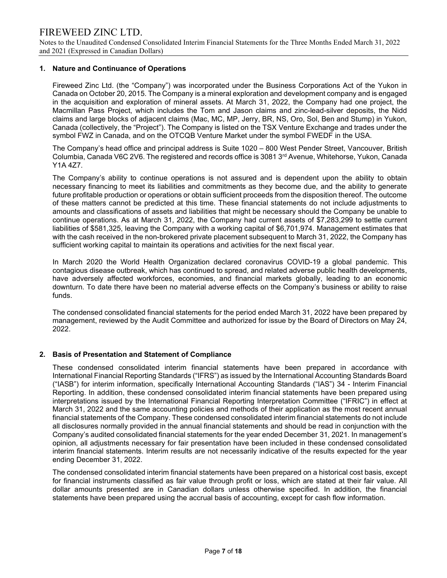Notes to the Unaudited Condensed Consolidated Interim Financial Statements for the Three Months Ended March 31, 2022 and 2021 (Expressed in Canadian Dollars)

### 1. Nature and Continuance of Operations

Fireweed Zinc Ltd. (the "Company") was incorporated under the Business Corporations Act of the Yukon in Canada on October 20, 2015. The Company is a mineral exploration and development company and is engaged in the acquisition and exploration of mineral assets. At March 31, 2022, the Company had one project, the Macmillan Pass Project, which includes the Tom and Jason claims and zinc-lead-silver deposits, the Nidd claims and large blocks of adjacent claims (Mac, MC, MP, Jerry, BR, NS, Oro, Sol, Ben and Stump) in Yukon, Canada (collectively, the "Project"). The Company is listed on the TSX Venture Exchange and trades under the symbol FWZ in Canada, and on the OTCQB Venture Market under the symbol FWEDF in the USA.

The Company's head office and principal address is Suite 1020 – 800 West Pender Street, Vancouver, British Columbia, Canada V6C 2V6. The registered and records office is 3081 3rd Avenue, Whitehorse, Yukon, Canada Y1A 4Z7.

The Company's ability to continue operations is not assured and is dependent upon the ability to obtain necessary financing to meet its liabilities and commitments as they become due, and the ability to generate future profitable production or operations or obtain sufficient proceeds from the disposition thereof. The outcome of these matters cannot be predicted at this time. These financial statements do not include adjustments to amounts and classifications of assets and liabilities that might be necessary should the Company be unable to continue operations. As at March 31, 2022, the Company had current assets of \$7,283,299 to settle current liabilities of \$581,325, leaving the Company with a working capital of \$6,701,974. Management estimates that with the cash received in the non-brokered private placement subsequent to March 31, 2022, the Company has sufficient working capital to maintain its operations and activities for the next fiscal year.

In March 2020 the World Health Organization declared coronavirus COVID-19 a global pandemic. This contagious disease outbreak, which has continued to spread, and related adverse public health developments, have adversely affected workforces, economies, and financial markets globally, leading to an economic downturn. To date there have been no material adverse effects on the Company's business or ability to raise funds.

The condensed consolidated financial statements for the period ended March 31, 2022 have been prepared by management, reviewed by the Audit Committee and authorized for issue by the Board of Directors on May 24, 2022.

### 2. Basis of Presentation and Statement of Compliance

These condensed consolidated interim financial statements have been prepared in accordance with International Financial Reporting Standards ("IFRS") as issued by the International Accounting Standards Board ("IASB") for interim information, specifically International Accounting Standards ("IAS") 34 - Interim Financial Reporting. In addition, these condensed consolidated interim financial statements have been prepared using interpretations issued by the International Financial Reporting Interpretation Committee ("IFRIC") in effect at March 31, 2022 and the same accounting policies and methods of their application as the most recent annual financial statements of the Company. These condensed consolidated interim financial statements do not include all disclosures normally provided in the annual financial statements and should be read in conjunction with the Company's audited consolidated financial statements for the year ended December 31, 2021. In management's opinion, all adjustments necessary for fair presentation have been included in these condensed consolidated interim financial statements. Interim results are not necessarily indicative of the results expected for the year ending December 31, 2022.

The condensed consolidated interim financial statements have been prepared on a historical cost basis, except for financial instruments classified as fair value through profit or loss, which are stated at their fair value. All dollar amounts presented are in Canadian dollars unless otherwise specified. In addition, the financial statements have been prepared using the accrual basis of accounting, except for cash flow information.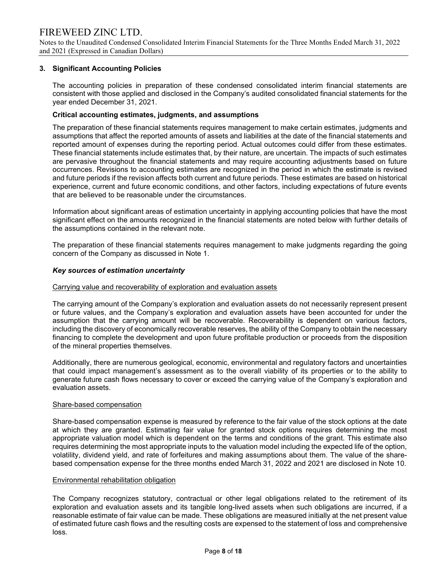Notes to the Unaudited Condensed Consolidated Interim Financial Statements for the Three Months Ended March 31, 2022 and 2021 (Expressed in Canadian Dollars)

# 3. Significant Accounting Policies

The accounting policies in preparation of these condensed consolidated interim financial statements are consistent with those applied and disclosed in the Company's audited consolidated financial statements for the year ended December 31, 2021.

### Critical accounting estimates, judgments, and assumptions

The preparation of these financial statements requires management to make certain estimates, judgments and assumptions that affect the reported amounts of assets and liabilities at the date of the financial statements and reported amount of expenses during the reporting period. Actual outcomes could differ from these estimates. These financial statements include estimates that, by their nature, are uncertain. The impacts of such estimates are pervasive throughout the financial statements and may require accounting adjustments based on future occurrences. Revisions to accounting estimates are recognized in the period in which the estimate is revised and future periods if the revision affects both current and future periods. These estimates are based on historical experience, current and future economic conditions, and other factors, including expectations of future events that are believed to be reasonable under the circumstances.

Information about significant areas of estimation uncertainty in applying accounting policies that have the most significant effect on the amounts recognized in the financial statements are noted below with further details of the assumptions contained in the relevant note.

The preparation of these financial statements requires management to make judgments regarding the going concern of the Company as discussed in Note 1.

#### Key sources of estimation uncertainty

#### Carrying value and recoverability of exploration and evaluation assets

The carrying amount of the Company's exploration and evaluation assets do not necessarily represent present or future values, and the Company's exploration and evaluation assets have been accounted for under the assumption that the carrying amount will be recoverable. Recoverability is dependent on various factors, including the discovery of economically recoverable reserves, the ability of the Company to obtain the necessary financing to complete the development and upon future profitable production or proceeds from the disposition of the mineral properties themselves.

Additionally, there are numerous geological, economic, environmental and regulatory factors and uncertainties that could impact management's assessment as to the overall viability of its properties or to the ability to generate future cash flows necessary to cover or exceed the carrying value of the Company's exploration and evaluation assets.

#### Share-based compensation

Share-based compensation expense is measured by reference to the fair value of the stock options at the date at which they are granted. Estimating fair value for granted stock options requires determining the most appropriate valuation model which is dependent on the terms and conditions of the grant. This estimate also requires determining the most appropriate inputs to the valuation model including the expected life of the option, volatility, dividend yield, and rate of forfeitures and making assumptions about them. The value of the sharebased compensation expense for the three months ended March 31, 2022 and 2021 are disclosed in Note 10.

#### Environmental rehabilitation obligation

The Company recognizes statutory, contractual or other legal obligations related to the retirement of its exploration and evaluation assets and its tangible long-lived assets when such obligations are incurred, if a reasonable estimate of fair value can be made. These obligations are measured initially at the net present value of estimated future cash flows and the resulting costs are expensed to the statement of loss and comprehensive loss.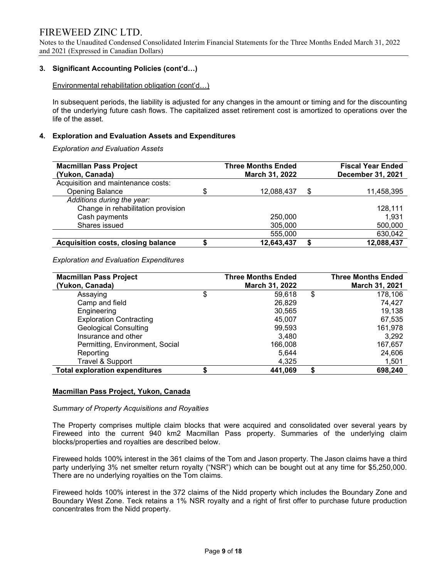Notes to the Unaudited Condensed Consolidated Interim Financial Statements for the Three Months Ended March 31, 2022 and 2021 (Expressed in Canadian Dollars)

# 3. Significant Accounting Policies (cont'd…)

Environmental rehabilitation obligation (cont'd…)

In subsequent periods, the liability is adjusted for any changes in the amount or timing and for the discounting of the underlying future cash flows. The capitalized asset retirement cost is amortized to operations over the life of the asset.

### 4. Exploration and Evaluation Assets and Expenditures

Exploration and Evaluation Assets

| <b>Macmillan Pass Project</b>             |   | <b>Three Months Ended</b> |    | <b>Fiscal Year Ended</b> |
|-------------------------------------------|---|---------------------------|----|--------------------------|
| (Yukon, Canada)                           |   | March 31, 2022            |    | <b>December 31, 2021</b> |
| Acquisition and maintenance costs:        |   |                           |    |                          |
| <b>Opening Balance</b>                    | S | 12,088,437                | \$ | 11,458,395               |
| Additions during the year:                |   |                           |    |                          |
| Change in rehabilitation provision        |   |                           |    | 128.111                  |
| Cash payments                             |   | 250,000                   |    | 1,931                    |
| Shares issued                             |   | 305,000                   |    | 500,000                  |
|                                           |   | 555,000                   |    | 630,042                  |
| <b>Acquisition costs, closing balance</b> |   | 12,643,437                | S  | 12,088,437               |

Exploration and Evaluation Expenditures

| <b>Macmillan Pass Project</b><br>(Yukon, Canada) | <b>Three Months Ended</b><br>March 31, 2022 | <b>Three Months Ended</b><br>March 31, 2021 |
|--------------------------------------------------|---------------------------------------------|---------------------------------------------|
| Assaying                                         | \$<br>59.618                                | \$<br>178,106                               |
| Camp and field                                   | 26,829                                      | 74.427                                      |
| Engineering                                      | 30,565                                      | 19,138                                      |
| <b>Exploration Contracting</b>                   | 45.007                                      | 67,535                                      |
| <b>Geological Consulting</b>                     | 99,593                                      | 161,978                                     |
| Insurance and other                              | 3.480                                       | 3,292                                       |
| Permitting, Environment, Social                  | 166,008                                     | 167,657                                     |
| Reporting                                        | 5.644                                       | 24,606                                      |
| Travel & Support                                 | 4,325                                       | 1,501                                       |
| <b>Total exploration expenditures</b>            | 441.069                                     | \$<br>698,240                               |

### Macmillan Pass Project, Yukon, Canada

#### Summary of Property Acquisitions and Royalties

The Property comprises multiple claim blocks that were acquired and consolidated over several years by Fireweed into the current 940 km2 Macmillan Pass property. Summaries of the underlying claim blocks/properties and royalties are described below.

Fireweed holds 100% interest in the 361 claims of the Tom and Jason property. The Jason claims have a third party underlying 3% net smelter return royalty ("NSR") which can be bought out at any time for \$5,250,000. There are no underlying royalties on the Tom claims.

Fireweed holds 100% interest in the 372 claims of the Nidd property which includes the Boundary Zone and Boundary West Zone. Teck retains a 1% NSR royalty and a right of first offer to purchase future production concentrates from the Nidd property.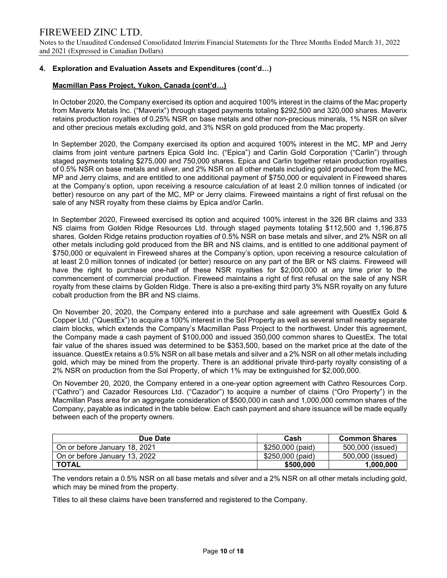Notes to the Unaudited Condensed Consolidated Interim Financial Statements for the Three Months Ended March 31, 2022 and 2021 (Expressed in Canadian Dollars)

# 4. Exploration and Evaluation Assets and Expenditures (cont'd…)

# Macmillan Pass Project, Yukon, Canada (cont'd…)

In October 2020, the Company exercised its option and acquired 100% interest in the claims of the Mac property from Maverix Metals Inc. ("Maverix") through staged payments totaling \$292,500 and 320,000 shares. Maverix retains production royalties of 0.25% NSR on base metals and other non-precious minerals, 1% NSR on silver and other precious metals excluding gold, and 3% NSR on gold produced from the Mac property.

In September 2020, the Company exercised its option and acquired 100% interest in the MC, MP and Jerry claims from joint venture partners Epica Gold Inc. ("Epica") and Carlin Gold Corporation ("Carlin") through staged payments totaling \$275,000 and 750,000 shares. Epica and Carlin together retain production royalties of 0.5% NSR on base metals and silver, and 2% NSR on all other metals including gold produced from the MC, MP and Jerry claims, and are entitled to one additional payment of \$750,000 or equivalent in Fireweed shares at the Company's option, upon receiving a resource calculation of at least 2.0 million tonnes of indicated (or better) resource on any part of the MC, MP or Jerry claims. Fireweed maintains a right of first refusal on the sale of any NSR royalty from these claims by Epica and/or Carlin.

In September 2020, Fireweed exercised its option and acquired 100% interest in the 326 BR claims and 333 NS claims from Golden Ridge Resources Ltd. through staged payments totaling \$112,500 and 1,196,875 shares. Golden Ridge retains production royalties of 0.5% NSR on base metals and silver, and 2% NSR on all other metals including gold produced from the BR and NS claims, and is entitled to one additional payment of \$750,000 or equivalent in Fireweed shares at the Company's option, upon receiving a resource calculation of at least 2.0 million tonnes of indicated (or better) resource on any part of the BR or NS claims. Fireweed will have the right to purchase one-half of these NSR royalties for \$2,000,000 at any time prior to the commencement of commercial production. Fireweed maintains a right of first refusal on the sale of any NSR royalty from these claims by Golden Ridge. There is also a pre-exiting third party 3% NSR royalty on any future cobalt production from the BR and NS claims.

On November 20, 2020, the Company entered into a purchase and sale agreement with QuestEx Gold & Copper Ltd. ("QuestEx") to acquire a 100% interest in the Sol Property as well as several small nearby separate claim blocks, which extends the Company's Macmillan Pass Project to the northwest. Under this agreement, the Company made a cash payment of \$100,000 and issued 350,000 common shares to QuestEx. The total fair value of the shares issued was determined to be \$353,500, based on the market price at the date of the issuance. QuestEx retains a 0.5% NSR on all base metals and silver and a 2% NSR on all other metals including gold, which may be mined from the property. There is an additional private third-party royalty consisting of a 2% NSR on production from the Sol Property, of which 1% may be extinguished for \$2,000,000.

On November 20, 2020, the Company entered in a one-year option agreement with Cathro Resources Corp. ("Cathro") and Cazador Resources Ltd. ("Cazador") to acquire a number of claims ("Oro Property") in the Macmillan Pass area for an aggregate consideration of \$500,000 in cash and 1,000,000 common shares of the Company, payable as indicated in the table below. Each cash payment and share issuance will be made equally between each of the property owners.

| Due Date                      | Cash             | <b>Common Shares</b> |
|-------------------------------|------------------|----------------------|
| On or before January 18, 2021 | \$250,000 (paid) | 500,000 (issued)     |
| On or before January 13, 2022 | \$250,000 (paid) | 500,000 (issued)     |
| <b>TOTAL</b>                  | \$500,000        | 1,000,000            |

The vendors retain a 0.5% NSR on all base metals and silver and a 2% NSR on all other metals including gold, which may be mined from the property.

Titles to all these claims have been transferred and registered to the Company.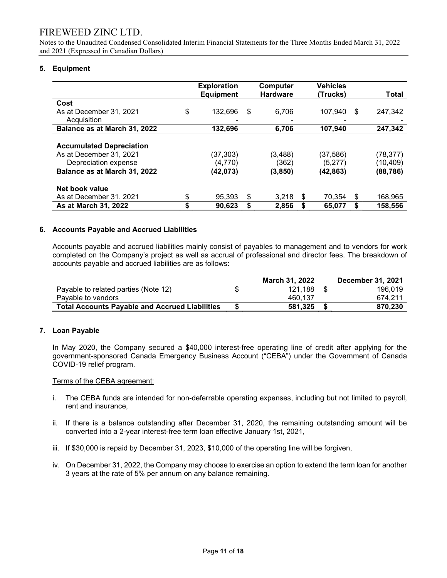Notes to the Unaudited Condensed Consolidated Interim Financial Statements for the Three Months Ended March 31, 2022 and 2021 (Expressed in Canadian Dollars)

# 5. Equipment

|                                 | <b>Exploration</b><br><b>Equipment</b> |     | Computer<br><b>Hardware</b> | <b>Vehicles</b><br>(Trucks) |    | Total    |
|---------------------------------|----------------------------------------|-----|-----------------------------|-----------------------------|----|----------|
| Cost                            |                                        |     |                             |                             |    |          |
| As at December 31, 2021         | \$<br>132.696                          | \$. | 6,706                       | 107,940                     | S  | 247,342  |
| Acquisition                     |                                        |     |                             |                             |    |          |
| Balance as at March 31, 2022    | 132.696                                |     | 6.706                       | 107.940                     |    | 247.342  |
|                                 |                                        |     |                             |                             |    |          |
| <b>Accumulated Depreciation</b> |                                        |     |                             |                             |    |          |
| As at December 31, 2021         | (37,303)                               |     | (3,488)                     | (37, 586)                   |    | (78,377) |
| Depreciation expense            | (4,770)                                |     | (362)                       | (5,277)                     |    | (10,409) |
| Balance as at March 31, 2022    | (42,073)                               |     | (3,850)                     | (42,863)                    |    | (88,786) |
|                                 |                                        |     |                             |                             |    |          |
| Net book value                  |                                        |     |                             |                             |    |          |
| As at December 31, 2021         | \$<br>95,393                           | S   | 3.218                       | \$<br>70,354                | \$ | 168,965  |
| As at March 31, 2022            | \$<br>90,623                           |     | 2,856                       | 65,077                      | \$ | 158,556  |

### 6. Accounts Payable and Accrued Liabilities

 Accounts payable and accrued liabilities mainly consist of payables to management and to vendors for work completed on the Company's project as well as accrual of professional and director fees. The breakdown of accounts payable and accrued liabilities are as follows:

|                                                       | March 31, 2022 | <b>December 31, 2021</b> |
|-------------------------------------------------------|----------------|--------------------------|
| Payable to related parties (Note 12)                  | 121.188        | 196.019                  |
| Pavable to vendors                                    | 460.137        | 674.211                  |
| <b>Total Accounts Payable and Accrued Liabilities</b> | 581.325        | 870,230                  |

### 7. Loan Payable

In May 2020, the Company secured a \$40,000 interest-free operating line of credit after applying for the government-sponsored Canada Emergency Business Account ("CEBA") under the Government of Canada COVID-19 relief program.

#### Terms of the CEBA agreement:

- i. The CEBA funds are intended for non-deferrable operating expenses, including but not limited to payroll, rent and insurance,
- ii. If there is a balance outstanding after December 31, 2020, the remaining outstanding amount will be converted into a 2-year interest-free term loan effective January 1st, 2021,
- iii. If \$30,000 is repaid by December 31, 2023, \$10,000 of the operating line will be forgiven,
- iv. On December 31, 2022, the Company may choose to exercise an option to extend the term loan for another 3 years at the rate of 5% per annum on any balance remaining.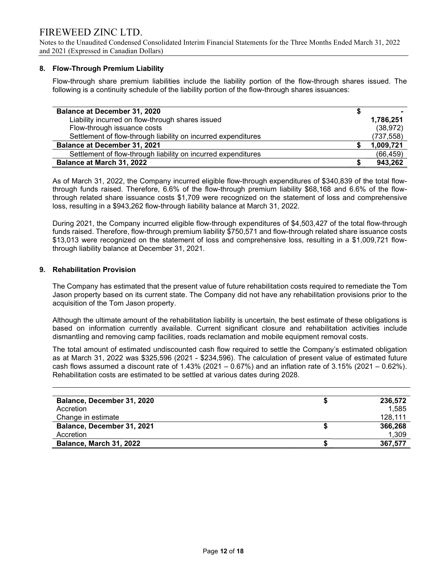Notes to the Unaudited Condensed Consolidated Interim Financial Statements for the Three Months Ended March 31, 2022 and 2021 (Expressed in Canadian Dollars)

# 8. Flow-Through Premium Liability

Flow-through share premium liabilities include the liability portion of the flow-through shares issued. The following is a continuity schedule of the liability portion of the flow-through shares issuances:

| <b>Balance at December 31, 2020</b>                           |            |
|---------------------------------------------------------------|------------|
| Liability incurred on flow-through shares issued              | 1,786,251  |
| Flow-through issuance costs                                   | (38, 972)  |
| Settlement of flow-through liability on incurred expenditures | (737, 558) |
| <b>Balance at December 31, 2021</b>                           | 1,009,721  |
| Settlement of flow-through liability on incurred expenditures | (66, 459)  |
| Balance at March 31, 2022                                     | 943,262    |

As of March 31, 2022, the Company incurred eligible flow-through expenditures of \$340,839 of the total flowthrough funds raised. Therefore, 6.6% of the flow-through premium liability \$68,168 and 6.6% of the flowthrough related share issuance costs \$1,709 were recognized on the statement of loss and comprehensive loss, resulting in a \$943,262 flow-through liability balance at March 31, 2022.

During 2021, the Company incurred eligible flow-through expenditures of \$4,503,427 of the total flow-through funds raised. Therefore, flow-through premium liability \$750,571 and flow-through related share issuance costs \$13,013 were recognized on the statement of loss and comprehensive loss, resulting in a \$1,009,721 flowthrough liability balance at December 31, 2021.

# 9. Rehabilitation Provision

The Company has estimated that the present value of future rehabilitation costs required to remediate the Tom Jason property based on its current state. The Company did not have any rehabilitation provisions prior to the acquisition of the Tom Jason property.

Although the ultimate amount of the rehabilitation liability is uncertain, the best estimate of these obligations is based on information currently available. Current significant closure and rehabilitation activities include dismantling and removing camp facilities, roads reclamation and mobile equipment removal costs.

The total amount of estimated undiscounted cash flow required to settle the Company's estimated obligation as at March 31, 2022 was \$325,596 (2021 - \$234,596). The calculation of present value of estimated future cash flows assumed a discount rate of  $1.43\%$  (2021 – 0.67%) and an inflation rate of  $3.15\%$  (2021 – 0.62%). Rehabilitation costs are estimated to be settled at various dates during 2028.

| Balance, December 31, 2020     | 236.572 |
|--------------------------------|---------|
| Accretion                      | 1.585   |
| Change in estimate             | 128,111 |
| Balance, December 31, 2021     | 366,268 |
| Accretion                      | 1,309   |
| <b>Balance, March 31, 2022</b> | 367,577 |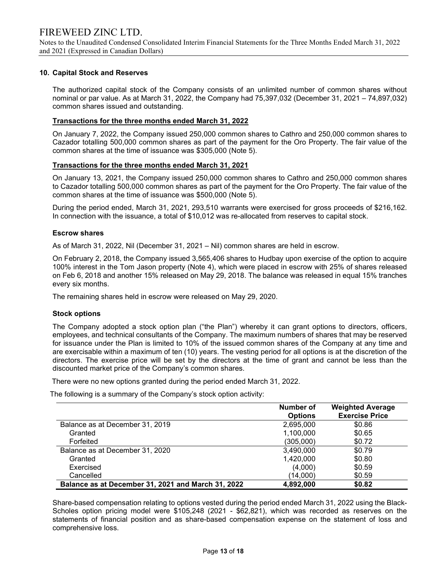Notes to the Unaudited Condensed Consolidated Interim Financial Statements for the Three Months Ended March 31, 2022 and 2021 (Expressed in Canadian Dollars)

# 10. Capital Stock and Reserves

The authorized capital stock of the Company consists of an unlimited number of common shares without nominal or par value. As at March 31, 2022, the Company had 75,397,032 (December 31, 2021 – 74,897,032) common shares issued and outstanding.

# Transactions for the three months ended March 31, 2022

On January 7, 2022, the Company issued 250,000 common shares to Cathro and 250,000 common shares to Cazador totalling 500,000 common shares as part of the payment for the Oro Property. The fair value of the common shares at the time of issuance was \$305,000 (Note 5).

# Transactions for the three months ended March 31, 2021

On January 13, 2021, the Company issued 250,000 common shares to Cathro and 250,000 common shares to Cazador totalling 500,000 common shares as part of the payment for the Oro Property. The fair value of the common shares at the time of issuance was \$500,000 (Note 5).

During the period ended, March 31, 2021, 293,510 warrants were exercised for gross proceeds of \$216,162. In connection with the issuance, a total of \$10,012 was re-allocated from reserves to capital stock.

# Escrow shares

As of March 31, 2022, Nil (December 31, 2021 – Nil) common shares are held in escrow.

On February 2, 2018, the Company issued 3,565,406 shares to Hudbay upon exercise of the option to acquire 100% interest in the Tom Jason property (Note 4), which were placed in escrow with 25% of shares released on Feb 6, 2018 and another 15% released on May 29, 2018. The balance was released in equal 15% tranches every six months.

The remaining shares held in escrow were released on May 29, 2020.

### Stock options

The Company adopted a stock option plan ("the Plan") whereby it can grant options to directors, officers, employees, and technical consultants of the Company. The maximum numbers of shares that may be reserved for issuance under the Plan is limited to 10% of the issued common shares of the Company at any time and are exercisable within a maximum of ten (10) years. The vesting period for all options is at the discretion of the directors. The exercise price will be set by the directors at the time of grant and cannot be less than the discounted market price of the Company's common shares.

There were no new options granted during the period ended March 31, 2022.

The following is a summary of the Company's stock option activity:

|                                                    | Number of<br><b>Options</b> | <b>Weighted Average</b><br><b>Exercise Price</b> |
|----------------------------------------------------|-----------------------------|--------------------------------------------------|
| Balance as at December 31, 2019                    | 2,695,000                   | \$0.86                                           |
| Granted                                            | 1,100,000                   | \$0.65                                           |
| Forfeited                                          | (305,000)                   | \$0.72                                           |
| Balance as at December 31, 2020                    | 3,490,000                   | \$0.79                                           |
| Granted                                            | 1,420,000                   | \$0.80                                           |
| Exercised                                          | (4,000)                     | \$0.59                                           |
| Cancelled                                          | (14,000)                    | \$0.59                                           |
| Balance as at December 31, 2021 and March 31, 2022 | 4,892,000                   | \$0.82                                           |

Share-based compensation relating to options vested during the period ended March 31, 2022 using the Black-Scholes option pricing model were \$105,248 (2021 - \$62,821), which was recorded as reserves on the statements of financial position and as share-based compensation expense on the statement of loss and comprehensive loss.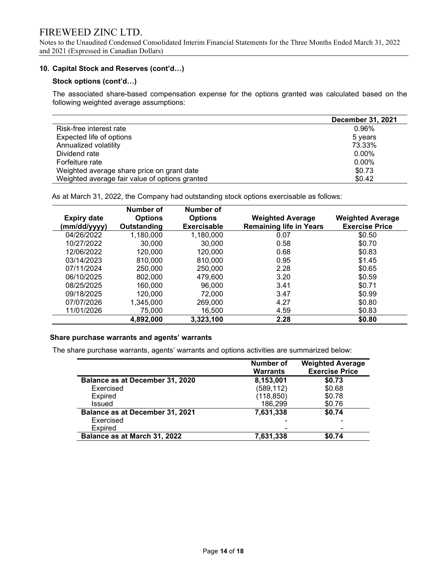Notes to the Unaudited Condensed Consolidated Interim Financial Statements for the Three Months Ended March 31, 2022 and 2021 (Expressed in Canadian Dollars)

# 10. Capital Stock and Reserves (cont'd…)

### Stock options (cont'd…)

The associated share-based compensation expense for the options granted was calculated based on the following weighted average assumptions:

|                                                | <b>December 31, 2021</b> |
|------------------------------------------------|--------------------------|
| Risk-free interest rate                        | 0.96%                    |
| Expected life of options                       | 5 years                  |
| Annualized volatility                          | 73.33%                   |
| Dividend rate                                  | $0.00\%$                 |
| Forfeiture rate                                | $0.00\%$                 |
| Weighted average share price on grant date     | \$0.73                   |
| Weighted average fair value of options granted | \$0.42                   |

As at March 31, 2022, the Company had outstanding stock options exercisable as follows:

|                    | Number of      | Number of      |                                |                         |
|--------------------|----------------|----------------|--------------------------------|-------------------------|
| <b>Expiry date</b> | <b>Options</b> | <b>Options</b> | <b>Weighted Average</b>        | <b>Weighted Average</b> |
| (mm/dd/yyyy)       | Outstanding    | Exercisable    | <b>Remaining life in Years</b> | <b>Exercise Price</b>   |
| 04/26/2022         | 1,180,000      | 1,180,000      | 0.07                           | \$0.50                  |
| 10/27/2022         | 30,000         | 30,000         | 0.58                           | \$0.70                  |
| 12/06/2022         | 120,000        | 120,000        | 0.68                           | \$0.83                  |
| 03/14/2023         | 810,000        | 810,000        | 0.95                           | \$1.45                  |
| 07/11/2024         | 250,000        | 250,000        | 2.28                           | \$0.65                  |
| 06/10/2025         | 802.000        | 479.600        | 3.20                           | \$0.59                  |
| 08/25/2025         | 160.000        | 96.000         | 3.41                           | \$0.71                  |
| 09/18/2025         | 120,000        | 72.000         | 3.47                           | \$0.99                  |
| 07/07/2026         | 1,345,000      | 269,000        | 4.27                           | \$0.80                  |
| 11/01/2026         | 75,000         | 16,500         | 4.59                           | \$0.83                  |
|                    | 4,892,000      | 3,323,100      | 2.28                           | \$0.80                  |

### Share purchase warrants and agents' warrants

The share purchase warrants, agents' warrants and options activities are summarized below:

|                                        | <b>Number of</b><br><b>Warrants</b> | <b>Weighted Average</b><br><b>Exercise Price</b> |
|----------------------------------------|-------------------------------------|--------------------------------------------------|
| Balance as at December 31, 2020        | 8,153,001                           | \$0.73                                           |
| Exercised                              | (589, 112)                          | \$0.68                                           |
| <b>Expired</b>                         | (118, 850)                          | \$0.78                                           |
| Issued                                 | 186,299                             | \$0.76                                           |
| <b>Balance as at December 31, 2021</b> | 7,631,338                           | \$0.74                                           |
| Exercised                              |                                     |                                                  |
| Expired                                |                                     | $\blacksquare$                                   |
| Balance as at March 31, 2022           | 7,631,338                           | \$0.74                                           |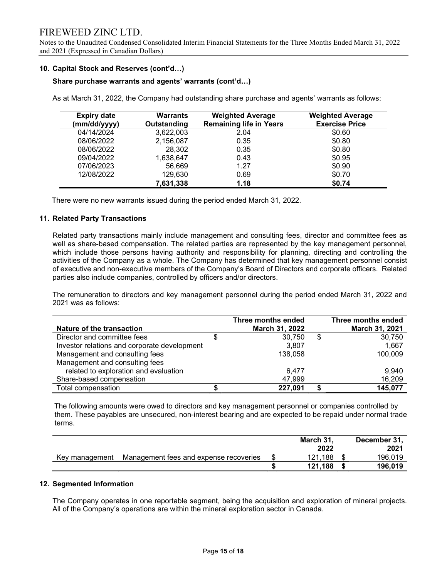Notes to the Unaudited Condensed Consolidated Interim Financial Statements for the Three Months Ended March 31, 2022 and 2021 (Expressed in Canadian Dollars)

### 10. Capital Stock and Reserves (cont'd…)

#### Share purchase warrants and agents' warrants (cont'd…)

As at March 31, 2022, the Company had outstanding share purchase and agents' warrants as follows:

| <b>Expiry date</b><br>(mm/dd/yyyy) | Warrants<br>Outstanding | <b>Weighted Average</b><br><b>Remaining life in Years</b> | <b>Weighted Average</b><br><b>Exercise Price</b> |
|------------------------------------|-------------------------|-----------------------------------------------------------|--------------------------------------------------|
| 04/14/2024                         | 3,622,003               | 2.04                                                      | \$0.60                                           |
| 08/06/2022                         | 2,156,087               | 0.35                                                      | \$0.80                                           |
| 08/06/2022                         | 28,302                  | 0.35                                                      | \$0.80                                           |
| 09/04/2022                         | 1,638,647               | 0.43                                                      | \$0.95                                           |
| 07/06/2023                         | 56,669                  | 1.27                                                      | \$0.90                                           |
| 12/08/2022                         | 129,630                 | 0.69                                                      | \$0.70                                           |
|                                    | 7,631,338               | 1.18                                                      | \$0.74                                           |

There were no new warrants issued during the period ended March 31, 2022.

### 11. Related Party Transactions

Related party transactions mainly include management and consulting fees, director and committee fees as well as share-based compensation. The related parties are represented by the key management personnel, which include those persons having authority and responsibility for planning, directing and controlling the activities of the Company as a whole. The Company has determined that key management personnel consist of executive and non-executive members of the Company's Board of Directors and corporate officers. Related parties also include companies, controlled by officers and/or directors.

The remuneration to directors and key management personnel during the period ended March 31, 2022 and 2021 was as follows:

| Nature of the transaction                    | Three months ended<br>March 31, 2022 | Three months ended<br>March 31, 2021 |
|----------------------------------------------|--------------------------------------|--------------------------------------|
| Director and committee fees                  | 30,750                               | \$<br>30,750                         |
| Investor relations and corporate development | 3.807                                | 1,667                                |
| Management and consulting fees               | 138,058                              | 100,009                              |
| Management and consulting fees               |                                      |                                      |
| related to exploration and evaluation        | 6.477                                | 9,940                                |
| Share-based compensation                     | 47,999                               | 16,209                               |
| Total compensation                           | 227,091                              | 145,077                              |

 The following amounts were owed to directors and key management personnel or companies controlled by them. These payables are unsecured, non-interest bearing and are expected to be repaid under normal trade terms.

|                |                                        | March 31,<br>2022 | December 31,<br>2021 |
|----------------|----------------------------------------|-------------------|----------------------|
| Key management | Management fees and expense recoveries | 121.188           | 196.019              |
|                |                                        | 121.188           | 196.019              |

### 12. Segmented Information

 The Company operates in one reportable segment, being the acquisition and exploration of mineral projects. All of the Company's operations are within the mineral exploration sector in Canada.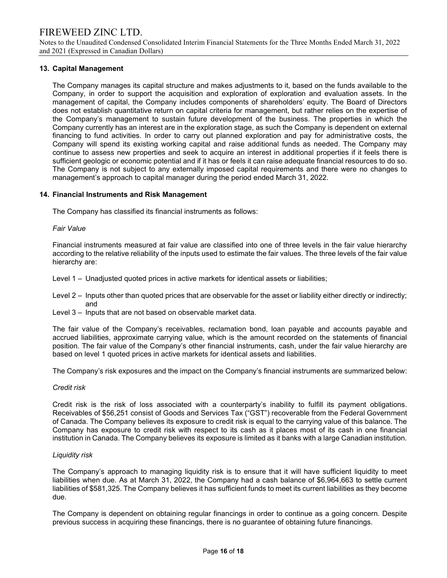Notes to the Unaudited Condensed Consolidated Interim Financial Statements for the Three Months Ended March 31, 2022 and 2021 (Expressed in Canadian Dollars)

# 13. Capital Management

The Company manages its capital structure and makes adjustments to it, based on the funds available to the Company, in order to support the acquisition and exploration of exploration and evaluation assets. In the management of capital, the Company includes components of shareholders' equity. The Board of Directors does not establish quantitative return on capital criteria for management, but rather relies on the expertise of the Company's management to sustain future development of the business. The properties in which the Company currently has an interest are in the exploration stage, as such the Company is dependent on external financing to fund activities. In order to carry out planned exploration and pay for administrative costs, the Company will spend its existing working capital and raise additional funds as needed. The Company may continue to assess new properties and seek to acquire an interest in additional properties if it feels there is sufficient geologic or economic potential and if it has or feels it can raise adequate financial resources to do so. The Company is not subject to any externally imposed capital requirements and there were no changes to management's approach to capital manager during the period ended March 31, 2022.

### 14. Financial Instruments and Risk Management

The Company has classified its financial instruments as follows:

#### Fair Value

Financial instruments measured at fair value are classified into one of three levels in the fair value hierarchy according to the relative reliability of the inputs used to estimate the fair values. The three levels of the fair value hierarchy are:

Level 1 – Unadjusted quoted prices in active markets for identical assets or liabilities;

- Level 2 Inputs other than quoted prices that are observable for the asset or liability either directly or indirectly; and
- Level 3 Inputs that are not based on observable market data.

The fair value of the Company's receivables, reclamation bond, loan payable and accounts payable and accrued liabilities, approximate carrying value, which is the amount recorded on the statements of financial position. The fair value of the Company's other financial instruments, cash, under the fair value hierarchy are based on level 1 quoted prices in active markets for identical assets and liabilities.

The Company's risk exposures and the impact on the Company's financial instruments are summarized below:

### Credit risk

Credit risk is the risk of loss associated with a counterparty's inability to fulfill its payment obligations. Receivables of \$56,251 consist of Goods and Services Tax ("GST") recoverable from the Federal Government of Canada. The Company believes its exposure to credit risk is equal to the carrying value of this balance. The Company has exposure to credit risk with respect to its cash as it places most of its cash in one financial institution in Canada. The Company believes its exposure is limited as it banks with a large Canadian institution.

### Liquidity risk

The Company's approach to managing liquidity risk is to ensure that it will have sufficient liquidity to meet liabilities when due. As at March 31, 2022, the Company had a cash balance of \$6,964,663 to settle current liabilities of \$581,325. The Company believes it has sufficient funds to meet its current liabilities as they become due.

The Company is dependent on obtaining regular financings in order to continue as a going concern. Despite previous success in acquiring these financings, there is no guarantee of obtaining future financings.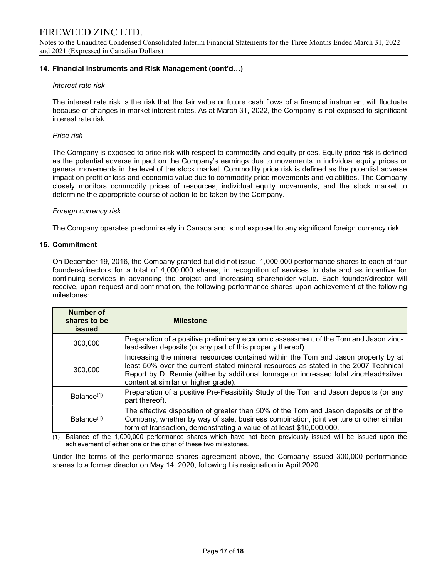Notes to the Unaudited Condensed Consolidated Interim Financial Statements for the Three Months Ended March 31, 2022 and 2021 (Expressed in Canadian Dollars)

# 14. Financial Instruments and Risk Management (cont'd…)

#### Interest rate risk

The interest rate risk is the risk that the fair value or future cash flows of a financial instrument will fluctuate because of changes in market interest rates. As at March 31, 2022, the Company is not exposed to significant interest rate risk.

#### Price risk

The Company is exposed to price risk with respect to commodity and equity prices. Equity price risk is defined as the potential adverse impact on the Company's earnings due to movements in individual equity prices or general movements in the level of the stock market. Commodity price risk is defined as the potential adverse impact on profit or loss and economic value due to commodity price movements and volatilities. The Company closely monitors commodity prices of resources, individual equity movements, and the stock market to determine the appropriate course of action to be taken by the Company.

#### Foreign currency risk

The Company operates predominately in Canada and is not exposed to any significant foreign currency risk.

#### 15. Commitment

On December 19, 2016, the Company granted but did not issue, 1,000,000 performance shares to each of four founders/directors for a total of 4,000,000 shares, in recognition of services to date and as incentive for continuing services in advancing the project and increasing shareholder value. Each founder/director will receive, upon request and confirmation, the following performance shares upon achievement of the following milestones:

| Number of<br>shares to be<br>issued | <b>Milestone</b>                                                                                                                                                                                                                                                                                           |
|-------------------------------------|------------------------------------------------------------------------------------------------------------------------------------------------------------------------------------------------------------------------------------------------------------------------------------------------------------|
| 300,000                             | Preparation of a positive preliminary economic assessment of the Tom and Jason zinc-<br>lead-silver deposits (or any part of this property thereof).                                                                                                                                                       |
| 300,000                             | Increasing the mineral resources contained within the Tom and Jason property by at<br>least 50% over the current stated mineral resources as stated in the 2007 Technical<br>Report by D. Rennie (either by additional tonnage or increased total zinc+lead+silver<br>content at similar or higher grade). |
| Balance <sup>(1)</sup>              | Preparation of a positive Pre-Feasibility Study of the Tom and Jason deposits (or any<br>part thereof).                                                                                                                                                                                                    |
| Balance <sup>(1)</sup>              | The effective disposition of greater than 50% of the Tom and Jason deposits or of the<br>Company, whether by way of sale, business combination, joint venture or other similar<br>form of transaction, demonstrating a value of at least \$10,000,000.                                                     |

(1) Balance of the 1,000,000 performance shares which have not been previously issued will be issued upon the achievement of either one or the other of these two milestones.

Under the terms of the performance shares agreement above, the Company issued 300,000 performance shares to a former director on May 14, 2020, following his resignation in April 2020.